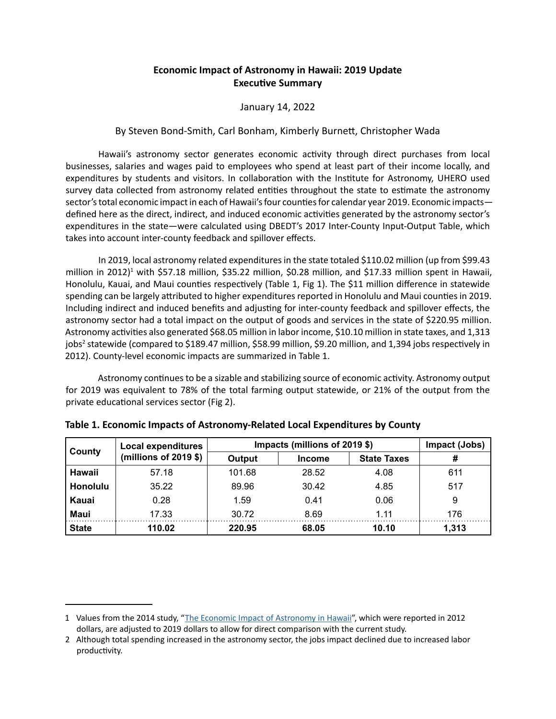## **Economic Impact of Astronomy in Hawaii: 2019 Update Executive Summary**

## January 14, 2022

## By Steven Bond-Smith, Carl Bonham, Kimberly Burnett, Christopher Wada

Hawaii's astronomy sector generates economic activity through direct purchases from local businesses, salaries and wages paid to employees who spend at least part of their income locally, and expenditures by students and visitors. In collaboration with the Institute for Astronomy, UHERO used survey data collected from astronomy related entities throughout the state to estimate the astronomy sector's total economic impact in each of Hawaii's four counties for calendar year 2019. Economic impacts defined here as the direct, indirect, and induced economic activities generated by the astronomy sector's expenditures in the state—were calculated using DBEDT's 2017 Inter-County Input-Output Table, which takes into account inter-county feedback and spillover effects.

In 2019, local astronomy related expenditures in the state totaled \$110.02 million (up from \$99.43 million in 2012)<sup>1</sup> with \$57.18 million, \$35.22 million, \$0.28 million, and \$17.33 million spent in Hawaii, Honolulu, Kauai, and Maui counties respectively (Table 1, Fig 1). The \$11 million difference in statewide spending can be largely attributed to higher expenditures reported in Honolulu and Maui counties in 2019. Including indirect and induced benefits and adjusting for inter-county feedback and spillover effects, the astronomy sector had a total impact on the output of goods and services in the state of \$220.95 million. Astronomy activities also generated \$68.05 million in labor income, \$10.10 million in state taxes, and 1,313 jobs<sup>2</sup> statewide (compared to \$189.47 million, \$58.99 million, \$9.20 million, and 1,394 jobs respectively in 2012). County-level economic impacts are summarized in Table 1.

Astronomy continues to be a sizable and stabilizing source of economic activity. Astronomy output for 2019 was equivalent to 78% of the total farming output statewide, or 21% of the output from the private educational services sector (Fig 2).

| County          | <b>Local expenditures</b><br>(millions of 2019 $$$ ) | Impacts (millions of 2019 \$) | Impact (Jobs) |                    |       |
|-----------------|------------------------------------------------------|-------------------------------|---------------|--------------------|-------|
|                 |                                                      | Output                        | <b>Income</b> | <b>State Taxes</b> | #     |
| Hawaii          | 57.18                                                | 101.68                        | 28.52         | 4.08               | 611   |
| <b>Honolulu</b> | 35.22                                                | 89.96                         | 30.42         | 4.85               | 517   |
| <b>Kauai</b>    | 0.28                                                 | 1.59                          | 0.41          | 0.06               | 9     |
| Maui            | 17.33                                                | 30.72                         | 8.69          | 1 11               | 176   |
| <b>State</b>    | 110.02                                               | 220.95                        | 68.05         | 10.10              | 1,313 |

|  | Table 1. Economic Impacts of Astronomy-Related Local Expenditures by County |  |
|--|-----------------------------------------------------------------------------|--|
|  |                                                                             |  |

<sup>1</sup> Values from the 2014 study, "[The Economic Impact of Astronomy in Hawaii](https://uhero.hawaii.edu/the-economic-impact-of-astronomy-in-hawaii/)", which were reported in 2012 dollars, are adjusted to 2019 dollars to allow for direct comparison with the current study.

<sup>2</sup> Although total spending increased in the astronomy sector, the jobs impact declined due to increased labor productivity.